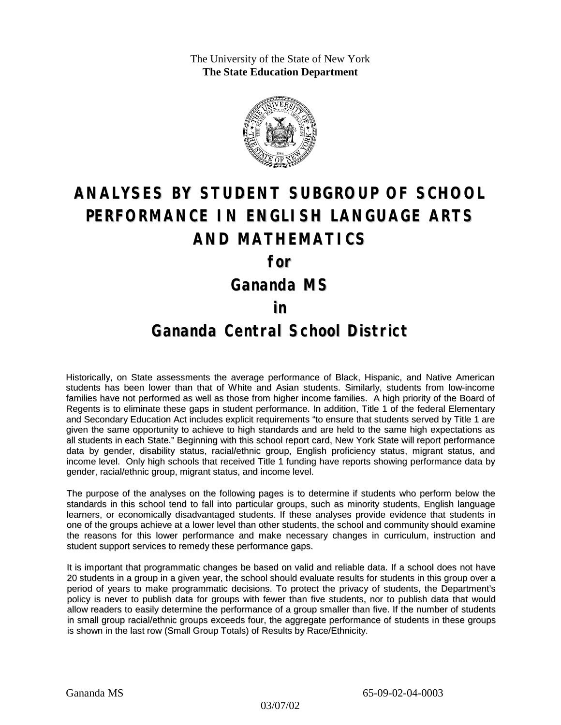The University of the State of New York **The State Education Department**



# **ANALYSES BY STUDENT SUBGROUP OF SCHOOL PERFORMANCE IN ENGLISH LANGUAGE ARTS AND MATHEMATICS**

**for**

**Gananda MS**

#### **in**

### **Gananda Central School District**

Historically, on State assessments the average performance of Black, Hispanic, and Native American students has been lower than that of White and Asian students. Similarly, students from low-income families have not performed as well as those from higher income families. A high priority of the Board of Regents is to eliminate these gaps in student performance. In addition, Title 1 of the federal Elementary and Secondary Education Act includes explicit requirements "to ensure that students served by Title 1 are given the same opportunity to achieve to high standards and are held to the same high expectations as all students in each State." Beginning with this school report card, New York State will report performance data by gender, disability status, racial/ethnic group, English proficiency status, migrant status, and income level. Only high schools that received Title 1 funding have reports showing performance data by gender, racial/ethnic group, migrant status, and income level.

The purpose of the analyses on the following pages is to determine if students who perform below the standards in this school tend to fall into particular groups, such as minority students, English language learners, or economically disadvantaged students. If these analyses provide evidence that students in one of the groups achieve at a lower level than other students, the school and community should examine the reasons for this lower performance and make necessary changes in curriculum, instruction and student support services to remedy these performance gaps.

It is important that programmatic changes be based on valid and reliable data. If a school does not have 20 students in a group in a given year, the school should evaluate results for students in this group over a period of years to make programmatic decisions. To protect the privacy of students, the Department's policy is never to publish data for groups with fewer than five students, nor to publish data that would allow readers to easily determine the performance of a group smaller than five. If the number of students in small group racial/ethnic groups exceeds four, the aggregate performance of students in these groups is shown in the last row (Small Group Totals) of Results by Race/Ethnicity.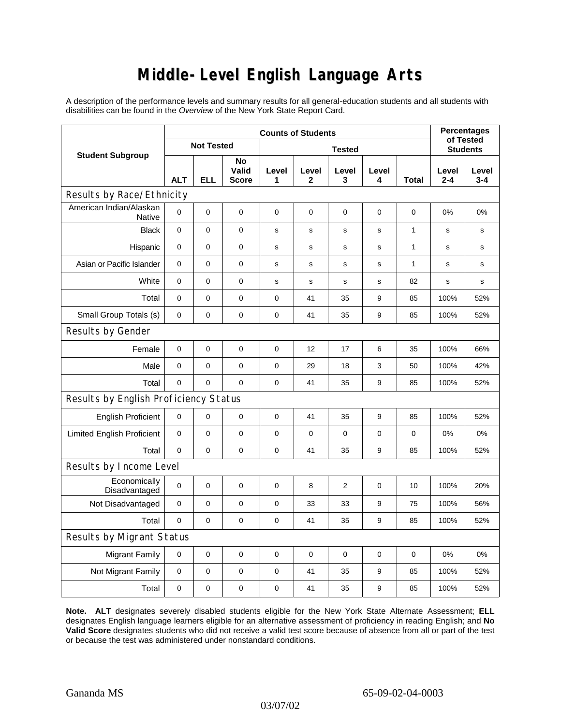# **Middle-Level English Language Arts**

A description of the performance levels and summary results for all general-education students and all students with disabilities can be found in the *Overview* of the New York State Report Card.

| <b>Student Subgroup</b>                  | <b>Counts of Students</b> |            |                             |               |                       |                |             |              | <b>Percentages</b><br>of Tested |                  |
|------------------------------------------|---------------------------|------------|-----------------------------|---------------|-----------------------|----------------|-------------|--------------|---------------------------------|------------------|
|                                          | <b>Not Tested</b>         |            |                             | <b>Tested</b> |                       |                |             |              | <b>Students</b>                 |                  |
|                                          | <b>ALT</b>                | <b>ELL</b> | No<br>Valid<br><b>Score</b> | Level<br>1    | Level<br>$\mathbf{2}$ | Level<br>3     | Level<br>4  | Total        | Level<br>$2 - 4$                | Level<br>$3 - 4$ |
| Results by Race/Ethnicity                |                           |            |                             |               |                       |                |             |              |                                 |                  |
| American Indian/Alaskan<br><b>Native</b> | $\mathbf 0$               | 0          | $\mathbf 0$                 | $\mathbf 0$   | $\mathbf 0$           | $\mathbf 0$    | 0           | 0            | 0%                              | 0%               |
| <b>Black</b>                             | $\mathbf 0$               | 0          | $\mathbf 0$                 | s             | s                     | s              | s           | $\mathbf{1}$ | s                               | s                |
| Hispanic                                 | $\mathbf 0$               | 0          | $\pmb{0}$                   | s             | s                     | s              | s           | $\mathbf{1}$ | s                               | s                |
| Asian or Pacific Islander                | $\mathbf 0$               | 0          | 0                           | $\mathbf s$   | $\mathsf{s}$          | $\mathsf{s}$   | s           | 1            | $\mathbf s$                     | s                |
| White                                    | $\mathbf 0$               | 0          | $\pmb{0}$                   | s             | $\mathbf s$           | s              | s           | 82           | $\mathbf s$                     | s                |
| Total                                    | $\mathbf 0$               | 0          | $\pmb{0}$                   | $\pmb{0}$     | 41                    | 35             | 9           | 85           | 100%                            | 52%              |
| Small Group Totals (s)                   | 0                         | 0          | 0                           | 0             | 41                    | 35             | 9           | 85           | 100%                            | 52%              |
| Results by Gender                        |                           |            |                             |               |                       |                |             |              |                                 |                  |
| Female                                   | $\mathbf 0$               | 0          | $\pmb{0}$                   | $\mathbf 0$   | 12                    | 17             | 6           | 35           | 100%                            | 66%              |
| Male                                     | $\mathbf 0$               | 0          | 0                           | 0             | 29                    | 18             | 3           | 50           | 100%                            | 42%              |
| Total                                    | $\mathbf 0$               | 0          | $\mathbf 0$                 | $\pmb{0}$     | 41                    | 35             | 9           | 85           | 100%                            | 52%              |
| Results by English Proficiency Status    |                           |            |                             |               |                       |                |             |              |                                 |                  |
| <b>English Proficient</b>                | $\mathbf 0$               | 0          | $\mathbf 0$                 | 0             | 41                    | 35             | 9           | 85           | 100%                            | 52%              |
| <b>Limited English Proficient</b>        | $\pmb{0}$                 | 0          | $\mathbf 0$                 | $\mathbf 0$   | $\mathbf 0$           | $\mathbf 0$    | 0           | 0            | 0%                              | 0%               |
| Total                                    | $\Omega$                  | 0          | $\pmb{0}$                   | $\mathbf 0$   | 41                    | 35             | 9           | 85           | 100%                            | 52%              |
| Results by Income Level                  |                           |            |                             |               |                       |                |             |              |                                 |                  |
| Economically<br>Disadvantaged            | $\Omega$                  | 0          | 0                           | $\mathbf 0$   | 8                     | $\overline{2}$ | $\mathbf 0$ | 10           | 100%                            | 20%              |
| Not Disadvantaged                        | 0                         | 0          | $\pmb{0}$                   | $\pmb{0}$     | 33                    | 33             | 9           | 75           | 100%                            | 56%              |
| Total                                    | $\mathbf 0$               | 0          | $\mathbf 0$                 | $\mathbf 0$   | 41                    | 35             | 9           | 85           | 100%                            | 52%              |
| <b>Results by Migrant Status</b>         |                           |            |                             |               |                       |                |             |              |                                 |                  |
| <b>Migrant Family</b>                    | 0                         | 0          | $\pmb{0}$                   | $\pmb{0}$     | $\mathbf 0$           | $\mathbf 0$    | 0           | 0            | 0%                              | 0%               |
| Not Migrant Family                       | $\mathbf 0$               | 0          | $\pmb{0}$                   | $\pmb{0}$     | 41                    | 35             | 9           | 85           | 100%                            | 52%              |
| Total                                    | $\mathbf 0$               | 0          | $\pmb{0}$                   | $\pmb{0}$     | 41                    | 35             | 9           | 85           | 100%                            | 52%              |

**Note. ALT** designates severely disabled students eligible for the New York State Alternate Assessment; **ELL** designates English language learners eligible for an alternative assessment of proficiency in reading English; and **No Valid Score** designates students who did not receive a valid test score because of absence from all or part of the test or because the test was administered under nonstandard conditions.